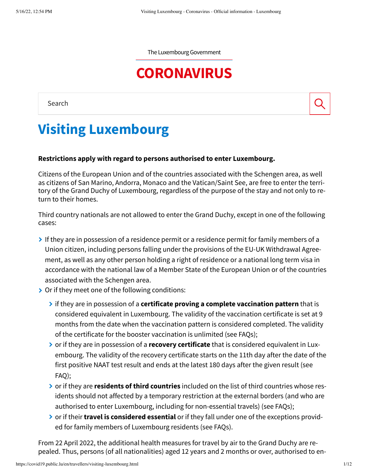The Luxembourg Government

# **[CORONAVIRUS](https://covid19.public.lu/en.html)**

Search

# **Visiting Luxembourg**

#### **Restrictions apply with regard to persons authorised to enter Luxembourg.**

Citizens of the European Union and of the countries associated with the Schengen area, as well as citizens of San Marino, Andorra, Monaco and the Vatican/Saint See, are free to enter the terri‐ tory of the Grand Duchy of Luxembourg, regardless of the purpose of the stay and not only to re‐ turn to their homes.

Third country nationals are not allowed to enter the Grand Duchy, except in one of the following cases:

- If they are in possession of a residence permit or a residence permit for family members of a Union citizen, including persons falling under the provisions of the EU-UK Withdrawal Agree‐ ment, as well as any other person holding a right of residence or a national long term visa in accordance with the national law of a Member State of the European Union or of the countries associated with the Schengen area.
- **▶** Or if they meet one of the following conditions:
	- if they are in possession of a **certificate proving a complete vaccination pattern** that is considered equivalent in Luxembourg. The validity of the vaccination certificate is set at 9 months from the date when the vaccination pattern is considered completed. The validity of the certificate for the booster vaccination is unlimited (see FAQs);
	- **▶** or if they are in possession of a **recovery certificate** that is considered equivalent in Luxembourg. The validity of the recovery certificate starts on the 11th day after the date of the first positive NAAT test result and ends at the latest 180 days after the given result (see FAQ);
	- or if they are **residents of third countries** included on the list of third countries whose res‐ idents should not affected by a temporary restriction at the external borders (and who are authorised to enter Luxembourg, including for non-essential travels) (see FAQs);
	- **ighta** or if their **travel is considered essential** or if they fall under one of the exceptions provid → ed for family members of Luxembourg residents (see FAQs).

From 22 April 2022, the additional health measures for travel by air to the Grand Duchy are re‐ pealed. Thus, persons (of all nationalities) aged 12 years and 2 months or over, authorised to en‐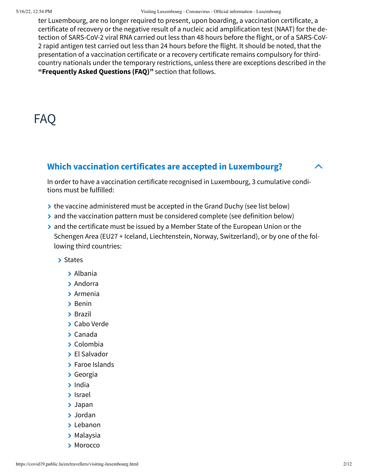5/16/22, 12:54 PM Visiting Luxembourg - Coronavirus - Official information - Luxembourg

ter Luxembourg, are no longer required to present, upon boarding, a vaccination certificate, a certificate of recovery or the negative result of a nucleic acid amplification test (NAAT) for the de‐ tection of SARS-CoV-2 viral RNA carried out less than 48 hours before the flight, or of a SARS-CoV-2 rapid antigen test carried out less than 24 hours before the flight. It should be noted, that the presentation of a vaccination certificate or a recovery certificate remains compulsory for thirdcountry nationals under the temporary restrictions, unless there are exceptions described in the **"Frequently Asked Questions (FAQ)"** section that follows.

## FAQ

## **Which vaccination certificates are accepted in Luxembourg?**

In order to have a vaccination certificate recognised in Luxembourg, 3 cumulative condi‐ tions must be fulfilled:

- $\rightarrow$  the vaccine administered must be accepted in the Grand Duchy (see list below)
- $\rightarrow$  and the vaccination pattern must be considered complete (see definition below)
- $\geq$  and the certificate must be issued by a Member State of the European Union or the Schengen Area (EU27 + Iceland, Liechtenstein, Norway, Switzerland), or by one of the fol‐ lowing third countries:

> States

- Albania
- > Andorra
- Armenia
- $\rightarrow$  Benin
- > Brazil
- Cabo Verde
- Canada
- Colombia
- El Salvador
- > Faroe Islands
- Georgia
- $\blacktriangleright$  India
- Israel
- Japan
- Jordan
- > Lebanon
- **> Malaysia**
- > Morocco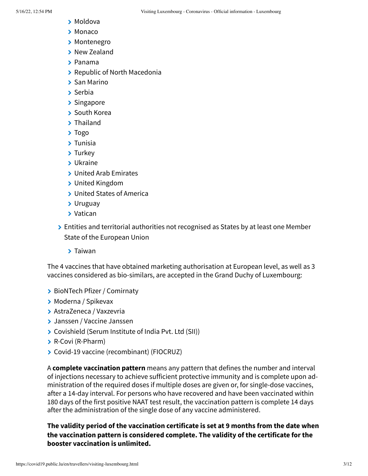- Moldova
- > Monaco
- > Montenegro
- > New Zealand
- Panama
- Republic of North Macedonia
- > San Marino
- Serbia
- > Singapore
- **▶ South Korea**
- > Thailand
- > Togo
- Tunisia
- > Turkey
- Ukraine
- **▶ United Arab Emirates**
- United Kingdom
- United States of America
- Uruguay
- Vatican
- **▶ Entities and territorial authorities not recognised as States by at least one Member** State of the European Union
	- Taiwan

The 4 vaccines that have obtained marketing authorisation at European level, as well as 3 vaccines considered as bio-similars, are accepted in the Grand Duchy of Luxembourg:

- > BioNTech Pfizer / Comirnaty
- Moderna / Spikevax
- AstraZeneca / Vaxzevria
- Janssen / Vaccine Janssen
- Covishield (Serum Institute of India Pvt. Ltd (SII))
- R-Covi (R-Pharm)
- Covid-19 vaccine (recombinant) (FIOCRUZ)

A **complete vaccination pattern** means any pattern that defines the number and interval of injections necessary to achieve sufficient protective immunity and is complete upon ad‐ ministration of the required doses if multiple doses are given or, for single-dose vaccines, after a 14-day interval. For persons who have recovered and have been vaccinated within 180 days of the first positive NAAT test result, the vaccination pattern is complete 14 days after the administration of the single dose of any vaccine administered.

**The validity period of the vaccination certificate is set at 9 months from the date when the vaccination pattern is considered complete. The validity of the certificate for the booster vaccination is unlimited.**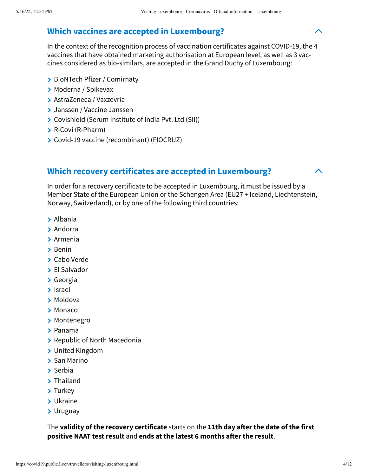## **Which vaccines are accepted in Luxembourg?**

In the context of the recognition process of vaccination certificates against COVID-19, the 4 vaccines that have obtained marketing authorisation at European level, as well as 3 vac‐ cines considered as bio-similars, are accepted in the Grand Duchy of Luxembourg:

- > BioNTech Pfizer / Comirnaty
- Moderna / Spikevax
- AstraZeneca / Vaxzevria
- Janssen / Vaccine Janssen
- Covishield (Serum Institute of India Pvt. Ltd (SII))
- **> R-Covi (R-Pharm)**
- Covid-19 vaccine (recombinant) (FIOCRUZ)

#### **Which recovery certificates are accepted in Luxembourg?**

In order for a recovery certificate to be accepted in Luxembourg, it must be issued by a Member State of the European Union or the Schengen Area (EU27 + Iceland, Liechtenstein, Norway, Switzerland), or by one of the following third countries:

- Albania
- > Andorra
- Armenia
- > Benin
- Cabo Verde
- > El Salvador
- Georgia
- Israel
- Moldova
- > Monaco
- > Montenegro
- Panama
- **> Republic of North Macedonia**
- United Kingdom
- > San Marino
- > Serbia
- > Thailand
- > Turkey
- Ukraine
- Uruguay

The **validity of the recovery certificate** starts on the **11th day after the date of the first positive NAAT test result** and **ends at the latest 6 months after the result**.

 $\blacktriangle$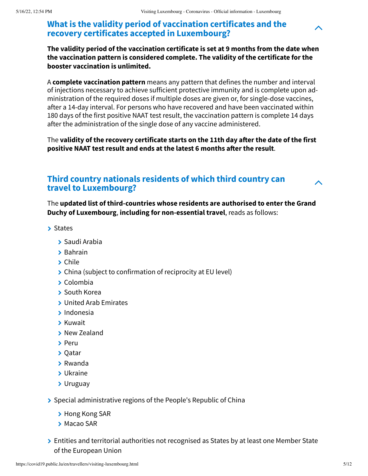## **What is the validity period of vaccination certificates and the recovery certificates accepted in Luxembourg?**

**The validity period of the vaccination certificate is set at 9 months from the date when the vaccination pattern is considered complete. The validity of the certificate for the booster vaccination is unlimited.**

A **complete vaccination pattern** means any pattern that defines the number and interval of injections necessary to achieve sufficient protective immunity and is complete upon ad‐ ministration of the required doses if multiple doses are given or, for single-dose vaccines, after a 14-day interval. For persons who have recovered and have been vaccinated within 180 days of the first positive NAAT test result, the vaccination pattern is complete 14 days after the administration of the single dose of any vaccine administered.

The **validity of the recovery certificate starts on the 11th day after the date of the first positive NAAT test result and ends at the latest 6 months after the result**.

### **Third country nationals residents of which third country can travel to Luxembourg?**

The **updated list of third-countries whose residents are authorised to enter the Grand Duchy of Luxembourg**, **including for non-essential travel**, reads as follows:

- > States
	- > Saudi Arabia
	- > Bahrain
	- > Chile
	- **▶ China (subject to confirmation of reciprocity at EU level)**
	- $\sum$  Colombia
	- South Korea
	- United Arab Emirates
	- $\blacktriangleright$  Indonesia
	- Kuwait
	- > New Zealand
	- > Peru
	- > Qatar
	- Rwanda
	- Ukraine
	- Uruguay
- $\geq$  Special administrative regions of the People's Republic of China
	- > Hong Kong SAR
	- **> Macao SAR**
- **Entities and territorial authorities not recognised as States by at least one Member State** of the European Union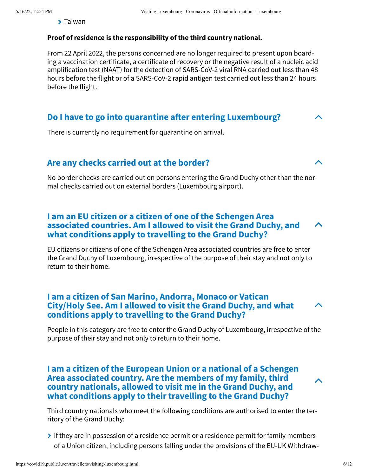Taiwan

#### **Proof of residence is the responsibility of the third country national.**

From 22 April 2022, the persons concerned are no longer required to present upon board‐ ing a vaccination certificate, a certificate of recovery or the negative result of a nucleic acid amplification test (NAAT) for the detection of SARS-CoV-2 viral RNA carried out less than 48 hours before the flight or of a SARS-CoV-2 rapid antigen test carried out less than 24 hours before the flight.

#### **Do I have to go into quarantine after entering Luxembourg?**

There is currently no requirement for quarantine on arrival.

#### **Are any checks carried out at the border?**

No border checks are carried out on persons entering the Grand Duchy other than the nor‐ mal checks carried out on external borders (Luxembourg airport).

#### **I am an EU citizen or a citizen of one of the Schengen Area associated countries. Am I allowed to visit the Grand Duchy, and what conditions apply to travelling to the Grand Duchy?**

EU citizens or citizens of one of the Schengen Area associated countries are free to enter the Grand Duchy of Luxembourg, irrespective of the purpose of their stay and not only to return to their home.

#### **I am a citizen of San Marino, Andorra, Monaco or Vatican City/Holy See. Am I allowed to visit the Grand Duchy, and what conditions apply to travelling to the Grand Duchy?**

People in this category are free to enter the Grand Duchy of Luxembourg, irrespective of the purpose of their stay and not only to return to their home.

#### **I am a citizen of the European Union or a national of a Schengen Area associated country. Are the members of my family, third country nationals, allowed to visit me in the Grand Duchy, and what conditions apply to their travelling to the Grand Duchy?**

Third country nationals who meet the following conditions are authorised to enter the ter‐ ritory of the Grand Duchy:

 $\rightarrow$  if they are in possession of a residence permit or a residence permit for family members of a Union citizen, including persons falling under the provisions of the EU-UK Withdraw‐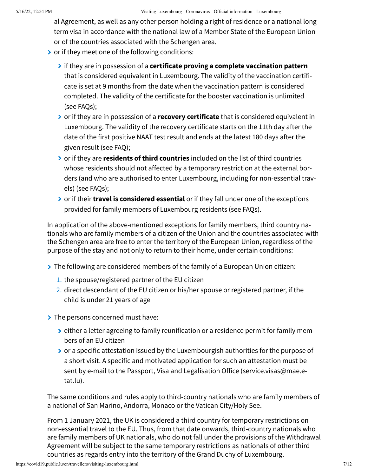al Agreement, as well as any other person holding a right of residence or a national long term visa in accordance with the national law of a Member State of the European Union or of the countries associated with the Schengen area.

- $\triangleright$  or if they meet one of the following conditions:
	- if they are in possession of a **certificate proving a complete vaccination pattern** that is considered equivalent in Luxembourg. The validity of the vaccination certifi‐ cate is set at 9 months from the date when the vaccination pattern is considered completed. The validity of the certificate for the booster vaccination is unlimited (see FAQs);
	- or if they are in possession of a **recovery certificate** that is considered equivalent in Luxembourg. The validity of the recovery certificate starts on the 11th day after the date of the first positive NAAT test result and ends at the latest 180 days after the given result (see FAQ);
	- or if they are **residents of third countries** included on the list of third countries whose residents should not affected by a temporary restriction at the external bor‐ ders (and who are authorised to enter Luxembourg, including for non-essential trav‐ els) (see FAQs);
	- or if their **travel is considered essential** or if they fall under one of the exceptions provided for family members of Luxembourg residents (see FAQs).

In application of the above-mentioned exceptions for family members, third country na‐ tionals who are family members of a citizen of the Union and the countries associated with the Schengen area are free to enter the territory of the European Union, regardless of the purpose of the stay and not only to return to their home, under certain conditions:

- If the following are considered members of the family of a European Union citizen:
	- 1. the spouse/registered partner of the EU citizen
	- 2. direct descendant of the EU citizen or his/her spouse or registered partner, if the child is under 21 years of age

The persons concerned must have:

- > either a letter agreeing to family reunification or a residence permit for family members of an EU citizen
- **▶** or a specific attestation issued by the Luxembourgish authorities for the purpose of a short visit. A specific and motivated application for such an attestation must be sent by e-mail to the Passport, Visa and Legalisation Office (service.visas@mae.etat.lu).

The same conditions and rules apply to third-country nationals who are family members of a national of San Marino, Andorra, Monaco or the Vatican City/Holy See.

From 1 January 2021, the UK is considered a third country for temporary restrictions on non-essential travel to the EU. Thus, from that date onwards, third-country nationals who are family members of UK nationals, who do not fall under the provisions of the Withdrawal Agreement will be subject to the same temporary restrictions as nationals of other third countries as regards entry into the territory of the Grand Duchy of Luxembourg.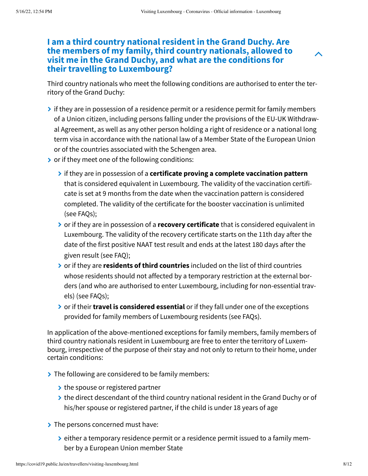#### **I am a third country national resident in the Grand Duchy. Are the members of my family, third country nationals, allowed to visit me in the Grand Duchy, and what are the conditions for their travelling to Luxembourg?**

Third country nationals who meet the following conditions are authorised to enter the ter‐ ritory of the Grand Duchy:

- $\geq$  if they are in possession of a residence permit or a residence permit for family members of a Union citizen, including persons falling under the provisions of the EU-UK Withdraw‐ al Agreement, as well as any other person holding a right of residence or a national long term visa in accordance with the national law of a Member State of the European Union or of the countries associated with the Schengen area.
- $\triangleright$  or if they meet one of the following conditions:
	- if they are in possession of a **certificate proving a complete vaccination pattern** that is considered equivalent in Luxembourg. The validity of the vaccination certifi‐ cate is set at 9 months from the date when the vaccination pattern is considered completed. The validity of the certificate for the booster vaccination is unlimited (see FAQs);
	- or if they are in possession of a **recovery certificate** that is considered equivalent in Luxembourg. The validity of the recovery certificate starts on the 11th day after the date of the first positive NAAT test result and ends at the latest 180 days after the given result (see FAQ);
	- or if they are **residents of third countries** included on the list of third countries whose residents should not affected by a temporary restriction at the external bor‐ ders (and who are authorised to enter Luxembourg, including for non-essential trav‐ els) (see FAQs);
	- or if their **travel is considered essential** or if they fall under one of the exceptions provided for family members of Luxembourg residents (see FAQs).

In application of the above-mentioned exceptions for family members, family members of third country nationals resident in Luxembourg are free to enter the territory of Luxem‐ bourg, irrespective of the purpose of their stay and not only to return to their home, under certain conditions:

- $\triangleright$  The following are considered to be family members:
	- $\rightarrow$  the spouse or registered partner
	- $\triangleright$  the direct descendant of the third country national resident in the Grand Duchy or of his/her spouse or registered partner, if the child is under 18 years of age
- The persons concerned must have:
	- either a temporary residence permit or a residence permit issued to a family mem‐ ber by a European Union member State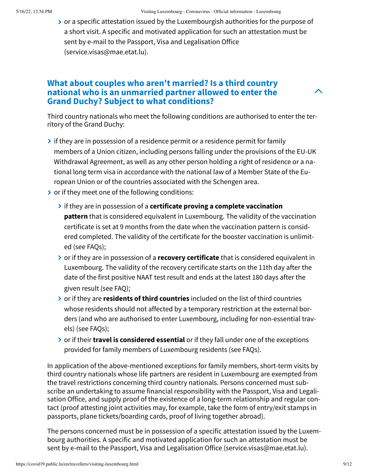**▶** or a specific attestation issued by the Luxembourgish authorities for the purpose of a short visit. A specific and motivated application for such an attestation must be sent by e-mail to the Passport, Visa and Legalisation Office (service.visas@mae.etat.lu).

#### **What about couples who aren't married? Is a third country national who is an unmarried partner allowed to enter the Grand Duchy? Subject to what conditions?**

Third country nationals who meet the following conditions are authorised to enter the ter‐ ritory of the Grand Duchy:

- $\rightarrow$  if they are in possession of a residence permit or a residence permit for family members of a Union citizen, including persons falling under the provisions of the EU-UK Withdrawal Agreement, as well as any other person holding a right of residence or a na‐ tional long term visa in accordance with the national law of a Member State of the Eu‐ ropean Union or of the countries associated with the Schengen area.
- $\triangleright$  or if they meet one of the following conditions:
	- if they are in possession of a **certificate proving a complete vaccination pattern** that is considered equivalent in Luxembourg. The validity of the vaccination certificate is set at 9 months from the date when the vaccination pattern is consid‐ ered completed. The validity of the certificate for the booster vaccination is unlimit‐ ed (see FAQs);
	- or if they are in possession of a **recovery certificate** that is considered equivalent in Luxembourg. The validity of the recovery certificate starts on the 11th day after the date of the first positive NAAT test result and ends at the latest 180 days after the given result (see FAQ);
	- or if they are **residents of third countries** included on the list of third countries whose residents should not affected by a temporary restriction at the external bor‐ ders (and who are authorised to enter Luxembourg, including for non-essential trav‐ els) (see FAQs);
	- or if their **travel is considered essential** or if they fall under one of the exceptions provided for family members of Luxembourg residents (see FAQs).

In application of the above-mentioned exceptions for family members, short-term visits by third country nationals whose life partners are resident in Luxembourg are exempted from the travel restrictions concerning third country nationals. Persons concerned must sub‐ scribe an undertaking to assume financial responsibility with the Passport, Visa and Legali‐ sation Office, and supply proof of the existence of a long-term relationship and regular con‐ tact (proof attesting joint activities may, for example, take the form of entry/exit stamps in passports, plane tickets/boarding cards, proof of living together abroad).

The persons concerned must be in possession of a specific attestation issued by the Luxem‐ bourg authorities. A specific and motivated application for such an attestation must be sent by e-mail to the Passport, Visa and Legalisation Office (service.visas@mae.etat.lu).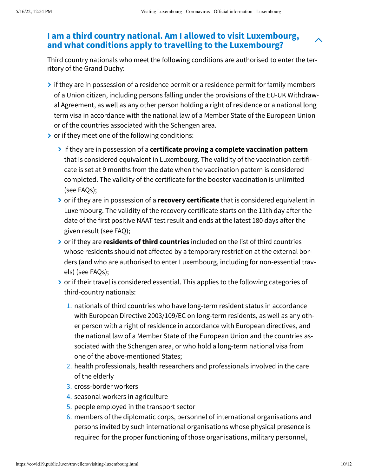### **I am a third country national. Am I allowed to visit Luxembourg, and what conditions apply to travelling to the Luxembourg?**

Third country nationals who meet the following conditions are authorised to enter the ter‐ ritory of the Grand Duchy:

- $\rightarrow$  if they are in possession of a residence permit or a residence permit for family members of a Union citizen, including persons falling under the provisions of the EU-UK Withdraw‐ al Agreement, as well as any other person holding a right of residence or a national long term visa in accordance with the national law of a Member State of the European Union or of the countries associated with the Schengen area.
- $\triangleright$  or if they meet one of the following conditions:
	- If they are in possession of a **certificate proving a complete vaccination pattern** that is considered equivalent in Luxembourg. The validity of the vaccination certifi‐ cate is set at 9 months from the date when the vaccination pattern is considered completed. The validity of the certificate for the booster vaccination is unlimited (see FAQs);
	- or if they are in possession of a **recovery certificate** that is considered equivalent in Luxembourg. The validity of the recovery certificate starts on the 11th day after the date of the first positive NAAT test result and ends at the latest 180 days after the given result (see FAQ);
	- or if they are **residents of third countries** included on the list of third countries whose residents should not affected by a temporary restriction at the external bor‐ ders (and who are authorised to enter Luxembourg, including for non-essential trav‐ els) (see FAQs);
	- $\triangleright$  or if their travel is considered essential. This applies to the following categories of third-country nationals:
		- 1. nationals of third countries who have long-term resident status in accordance with European Directive 2003/109/EC on long-term residents, as well as any oth‐ er person with a right of residence in accordance with European directives, and the national law of a Member State of the European Union and the countries as‐ sociated with the Schengen area, or who hold a long-term national visa from one of the above-mentioned States;
		- health professionals, health researchers and professionals involved in the care 2. of the elderly
		- 3. cross-border workers
		- 4. seasonal workers in agriculture
		- 5. people employed in the transport sector
		- $6.$  members of the diplomatic corps, personnel of international organisations and persons invited by such international organisations whose physical presence is required for the proper functioning of those organisations, military personnel,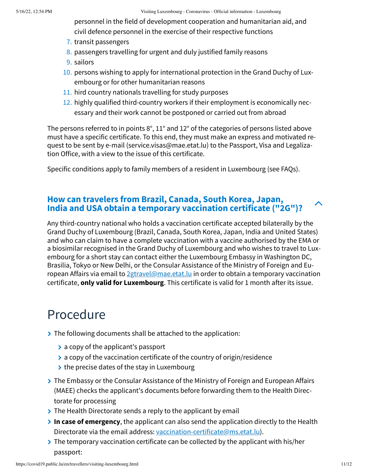personnel in the field of development cooperation and humanitarian aid, and civil defence personnel in the exercise of their respective functions

- 7. transit passengers
- 8. passengers travelling for urgent and duly justified family reasons
- 9. sailors
- 10. persons wishing to apply for international protection in the Grand Duchy of Luxembourg or for other humanitarian reasons
- 11. hird country nationals travelling for study purposes
- 12. highly qualified third-country workers if their employment is economically necessary and their work cannot be postponed or carried out from abroad

The persons referred to in points 8°, 11° and 12° of the categories of persons listed above must have a specific certificate. To this end, they must make an express and motivated re‐ quest to be sent by e-mail (service.visas@mae.etat.lu) to the Passport, Visa and Legaliza‐ tion Office, with a view to the issue of this certificate.

Specific conditions apply to family members of a resident in Luxembourg (see FAQs).

#### **How can travelers from Brazil, Canada, South Korea, Japan, India and USA obtain a temporary vaccination certificate ("2G")?**

Any third-country national who holds a vaccination certificate accepted bilaterally by the Grand Duchy of Luxembourg (Brazil, Canada, South Korea, Japan, India and United States) and who can claim to have a complete vaccination with a vaccine authorised by the EMA or a biosimilar recognised in the Grand Duchy of Luxembourg and who wishes to travel to Lux‐ embourg for a short stay can contact either the Luxembourg Embassy in Washington DC, Brasilia, Tokyo or New Delhi, or the Consular Assistance of the Ministry of Foreign and Eu‐ ropean Affairs via email to  $2$ gtravel@mae.etat.lu in order to obtain a temporary vaccination certificate, **only valid for Luxembourg**. This certificate is valid for 1 month after its issue.

## Procedure

- If The following documents shall be attached to the application:
	- > a copy of the applicant's passport
	- $\geq$  a copy of the vaccination certificate of the country of origin/residence
	- $\rightarrow$  the precise dates of the stay in Luxembourg
- The Embassy or the Consular Assistance of the Ministry of Foreign and European Affairs (MAEE) checks the applicant's documents before forwarding them to the Health Direc‐ torate for processing
- $\triangleright$  The Health Directorate sends a reply to the applicant by email
- **In case of emergency**, the applicant can also send the application directly to the Health Directorate via the email address: [vaccination-certificate@ms.etat.lu\)](mailto:vaccination-certificate@ms.etat.lu).
- $\triangleright$  The temporary vaccination certificate can be collected by the applicant with his/her passport: